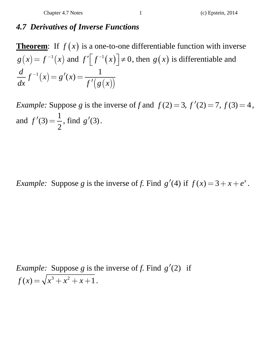## *4.7 Derivatives of Inverse Functions*

**Theorem:** If  $f(x)$  is a one-to-one differentiable function with inverse  $g(x) = f^{-1}(x)$  and  $f\left(f^{-1}(x)\right) \neq 0$ , then  $g(x)$  is differentiable and  $\frac{d}{dx} f^{-1}(x) = g'(x) = \frac{1}{f'(g(x))}$  $x^{-1}(x) = g'(x) =$  $\overline{\phantom{a}}$ 

*Example:* Suppose *g* is the inverse of *f* and  $f(2) = 3$ ,  $f'(2) = 7$ ,  $f(3) = 4$ , and  $f'(3) = \frac{1}{2}$ , find *g*  $'(3)$ .

*Example:* Suppose *g* is the inverse of *f*. Find  $g'(4)$  if  $f(x) = 3 + x + e^x$ .

*Example:* Suppose *g* is the inverse of *f*. Find  $g'(2)$  if  $f(x) = \sqrt{x^3 + x^2 + x + 1}.$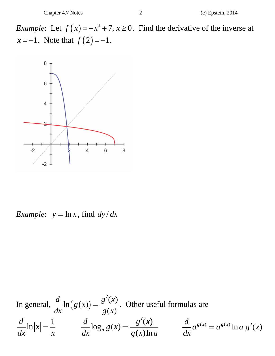*Example*: Let  $f(x) = -x^3 + 7$ ,  $x \ge 0$ . Find the derivative of the inverse at *x* = -1. Note that  $f(2) = -1$ .



*Example*:  $y = \ln x$ , find  $dy/dx$ 

In general,  $\frac{d}{dx} \ln(g(x)) = \frac{g'(x)}{g(x)}$ . Other useful formulas are  $\frac{d}{dx}$ ln  $|x| = \frac{1}{x}$  $\frac{d}{dx} \ln |x| = \frac{1}{x}$   $\frac{d}{dx} \log_a g(x) = \frac{g'(x)}{g(x) \ln a}$   $\frac{d}{dx} a^{g(x)} = a^{g(x)} \ln a g'(x)$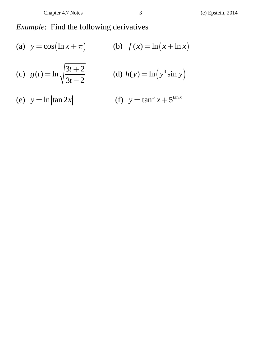## *Example*: Find the following derivatives

(a) 
$$
y = cos(\ln x + \pi)
$$
  
\n(b)  $f(x) = ln(x + ln x)$   
\n(c)  $g(t) = ln\sqrt{\frac{3t + 2}{3t - 2}}$   
\n(d)  $h(y) = ln(y^3 sin y)$   
\n(e)  $y = ln|tan 2x|$   
\n(f)  $y = tan^5 x + 5^{tan x}$